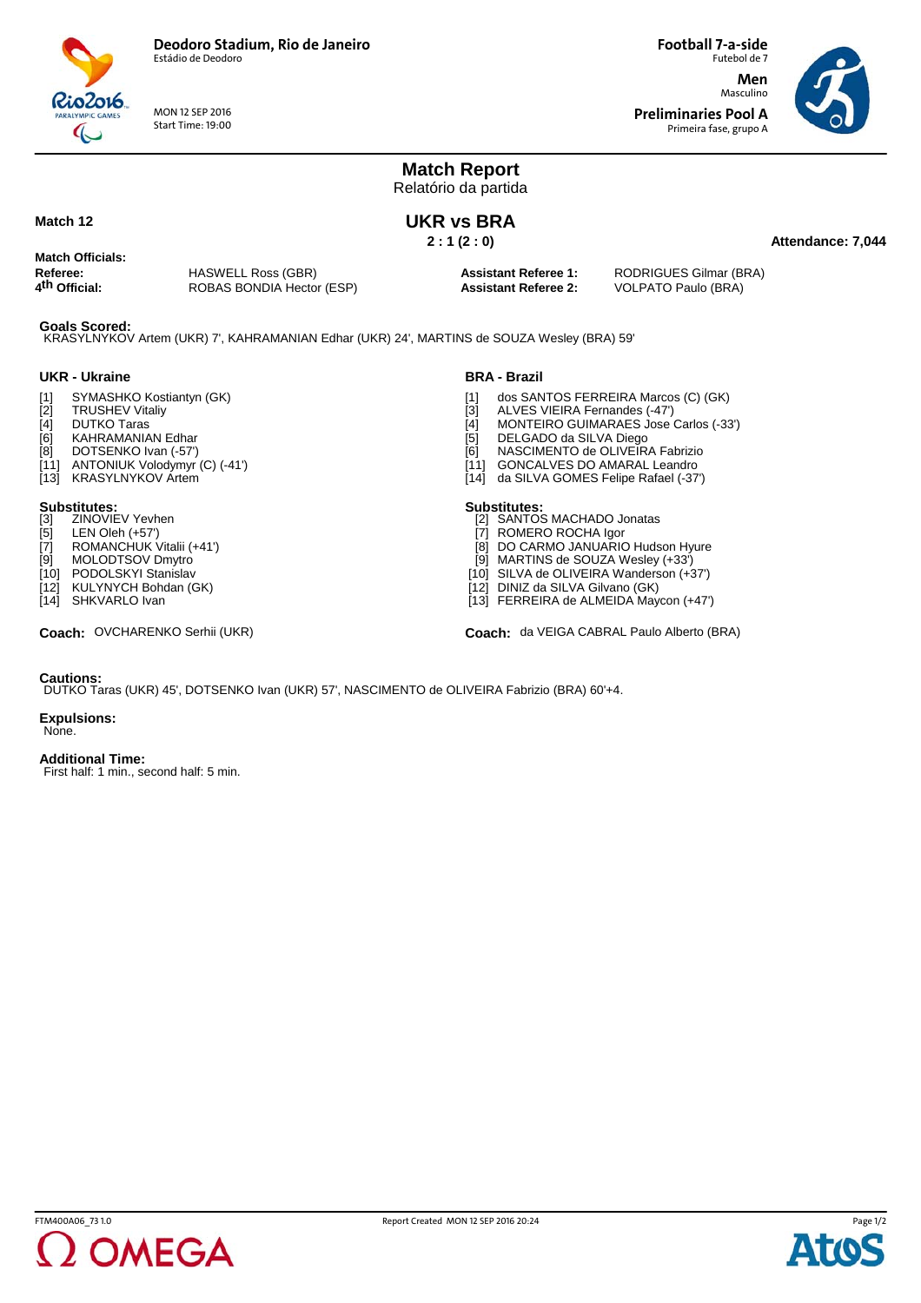

MON 12 SEP 2016 Start Time: 19:00

Futebol de 7 **Men** Masculino **Preliminaries Pool A** Primeira fase, grupo A

**Football 7-a-side**



### **Match Report** Relatório da partida **Attendance: 7,044 UKR vs BRA 2 : 1 (2 : 0) Referee:** HASWELL Ross (GBR)<br> **4<sup>th</sup> Official:** ROBAS BONDIA Hecto **4th Official:** ROBAS BONDIA Hector (ESP) **Assistant Referee 1:** RODRIGUES Gilmar (BRA) **Assistant Referee 2:** VOLPATO Paulo (BRA)

**Goals Scored:** KRASYLNYKOV Artem (UKR) 7', KAHRAMANIAN Edhar (UKR) 24', MARTINS de SOUZA Wesley (BRA) 59'

## **UKR - Ukraine**

**Match 12**

**Match Officials:**

- [1] SYMASHKO Kostiantyn (GK)<br>[2] TRUSHEV Vitaliy<br>[4] DUTKO Taras
- TRUSHEV Vitaliy
- [4] DUTKO Taras<br>[6] KAHRAMANIA
- [6] KAHRAMANIAN Edhar<br>[8] DOTSENKO Ivan (-57')
- DOTSENKO Ivan (-57')
- [11] ANTONIUK Volodymyr (C) (-41') [13] KRASYLNYKOV Artem

- **Substitutes:**<br>[3] ZINOVIEV Yevhen
- [5] LEN Oleh (+57')<br>[7] ROMANCHUK \
- ROMANCHUK Vitalii (+41')
- [9] MOLODTSOV Dmytro
- [10] PODOLSKYI Stanislav<br>[12] KULYNYCH Bohdan (0
- [12] KULYNYCH Bohdan (GK)<br>[14] SHKVARLO Ivan SHKVARLO Ivan

### **BRA - Brazil**

- 
- ALVES VIEIRA Fernandes (-47')
- [1] dos SANTOS FERREIRA Marcos (C) (GK)<br>[3] ALVES VIEIRA Fernandes (-47')<br>[4] MONTEIRO GUIMARAES Jose Carlos (-33 [4] MONTEIRO GUIMARAES Jose Carlos (-33')<br>[5] DELGADO da SILVA Diego
- [5] DELGADO da SILVA Diego<br>[6] NASCIMENTO de OLIVEIR.
- NASCIMENTO de OLIVEIRA Fabrizio
- [11] GONCALVES DO AMARAL Leandro<br>[14] da SILVA GOMES Felipe Rafael (-37)
- da SILVA GOMES Felipe Rafael (-37')

- **Substitutes:** [2] SANTOS MACHADO Jonatas
- [7] ROMERO ROCHA Igor
- [8] DO CARMO JANUARIO Hudson Hyure [9] MARTINS de SOUZA Wesley (+33')
- [10] SILVA de OLIVEIRA Wanderson (+37')
- [12] DINIZ da SILVA Gilvano (GK)
- [13] FERREIRA de ALMEIDA Maycon (+47')

Coach: OVCHARENKO Serhii (UKR) **coach:** da VEIGA CABRAL Paulo Alberto (BRA)

### **Cautions:**

DUTKO Taras (UKR) 45', DOTSENKO Ivan (UKR) 57', NASCIMENTO de OLIVEIRA Fabrizio (BRA) 60'+4.

### **Expulsions:**

None.

### **Additional Time:**

First half: 1 min., second half: 5 min.